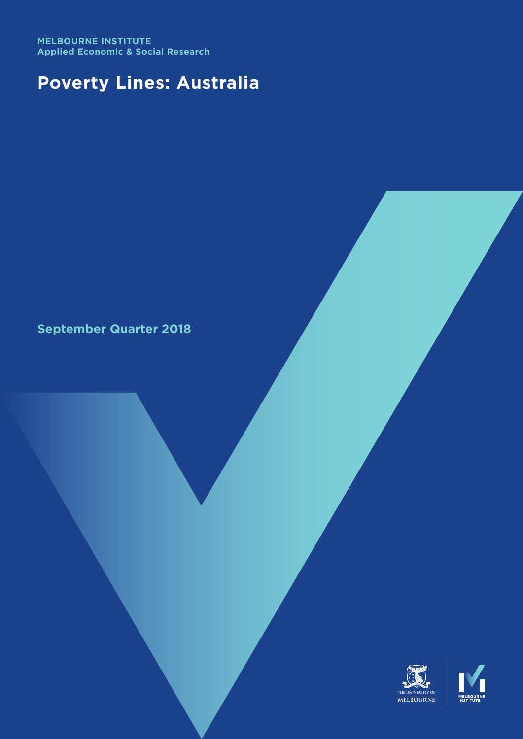**MELBOURNE INSTITUTE Applied Economic & Social Research**

# **Poverty Lines: Australia**

# **September Quarter 2018**

THE UNIVERSITY OF MELBOURNE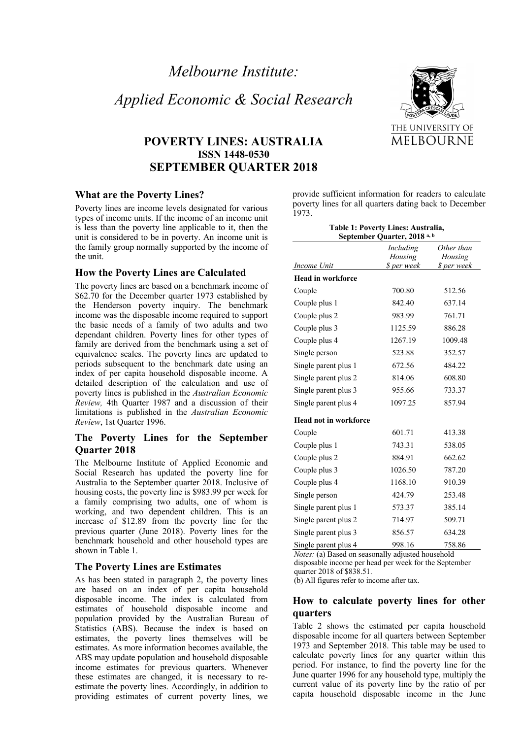# *Applied Economic & Social Research*

# **POVERTY LINES: AUSTRALIA ISSN 1448-0530 SEPTEMBER QUARTER 2018**

#### **What are the Poverty Lines?**

Poverty lines are income levels designated for various types of income units. If the income of an income unit is less than the poverty line applicable to it, then the unit is considered to be in poverty. An income unit is the family group normally supported by the income of the unit.

#### **How the Poverty Lines are Calculated**

The poverty lines are based on a benchmark income of \$62.70 for the December quarter 1973 established by the Henderson poverty inquiry. The benchmark income was the disposable income required to support the basic needs of a family of two adults and two dependant children. Poverty lines for other types of family are derived from the benchmark using a set of equivalence scales. The poverty lines are updated to periods subsequent to the benchmark date using an index of per capita household disposable income. A detailed description of the calculation and use of poverty lines is published in the *Australian Economic Review,* 4th Quarter 1987 and a discussion of their limitations is published in the *Australian Economic Review*, 1st Quarter 1996.

### **The Poverty Lines for the September Quarter 2018**

The Melbourne Institute of Applied Economic and Social Research has updated the poverty line for Australia to the September quarter 2018. Inclusive of housing costs, the poverty line is \$983.99 per week for a family comprising two adults, one of whom is working, and two dependent children. This is an increase of \$12.89 from the poverty line for the previous quarter (June 2018). Poverty lines for the benchmark household and other household types are shown in Table 1.

#### **The Poverty Lines are Estimates**

As has been stated in paragraph 2, the poverty lines are based on an index of per capita household disposable income. The index is calculated from estimates of household disposable income and population provided by the Australian Bureau of Statistics (ABS). Because the index is based on estimates, the poverty lines themselves will be estimates. As more information becomes available, the ABS may update population and household disposable income estimates for previous quarters. Whenever these estimates are changed, it is necessary to reestimate the poverty lines. Accordingly, in addition to providing estimates of current poverty lines, we



provide sufficient information for readers to calculate poverty lines for all quarters dating back to December 1973.

| Table 1: Poverty Lines: Australia,<br>September Quarter, 2018 <sup>a, b</sup> |                                     |                                      |  |
|-------------------------------------------------------------------------------|-------------------------------------|--------------------------------------|--|
| Income Unit                                                                   | Including<br>Housing<br>\$ per week | Other than<br>Housing<br>\$ per week |  |
| <b>Head in workforce</b>                                                      |                                     |                                      |  |
| Couple                                                                        | 700.80                              | 512.56                               |  |
| Couple plus 1                                                                 | 842.40                              | 637.14                               |  |
| Couple plus 2                                                                 | 983.99                              | 761.71                               |  |
| Couple plus 3                                                                 | 1125.59                             | 886.28                               |  |
| Couple plus 4                                                                 | 1267.19                             | 1009.48                              |  |
| Single person                                                                 | 523.88                              | 352.57                               |  |
| Single parent plus 1                                                          | 672.56                              | 484.22                               |  |
| Single parent plus 2                                                          | 814.06                              | 608.80                               |  |
| Single parent plus 3                                                          | 955.66                              | 733.37                               |  |
| Single parent plus 4                                                          | 1097.25                             | 857.94                               |  |
| <b>Head not in workforce</b>                                                  |                                     |                                      |  |
| Couple                                                                        | 601.71                              | 413.38                               |  |
| Couple plus 1                                                                 | 743.31                              | 538.05                               |  |
| Couple plus 2                                                                 | 884.91                              | 662.62                               |  |
| Couple plus 3                                                                 | 1026.50                             | 787.20                               |  |
| Couple plus 4                                                                 | 1168.10                             | 910.39                               |  |
| Single person                                                                 | 424.79                              | 253.48                               |  |
| Single parent plus 1                                                          | 573.37                              | 385.14                               |  |
| Single parent plus 2                                                          | 714.97                              | 509.71                               |  |
| Single parent plus 3                                                          | 856.57                              | 634.28                               |  |
| Single parent plus 4                                                          | 998.16                              | 758.86                               |  |

*Notes:* (a) Based on seasonally adjusted household disposable income per head per week for the September quarter 2018 of \$838.51.

(b) All figures refer to income after tax.

### **How to calculate poverty lines for other quarters**

Table 2 shows the estimated per capita household disposable income for all quarters between September 1973 and September 2018. This table may be used to calculate poverty lines for any quarter within this period. For instance, to find the poverty line for the June quarter 1996 for any household type, multiply the current value of its poverty line by the ratio of per capita household disposable income in the June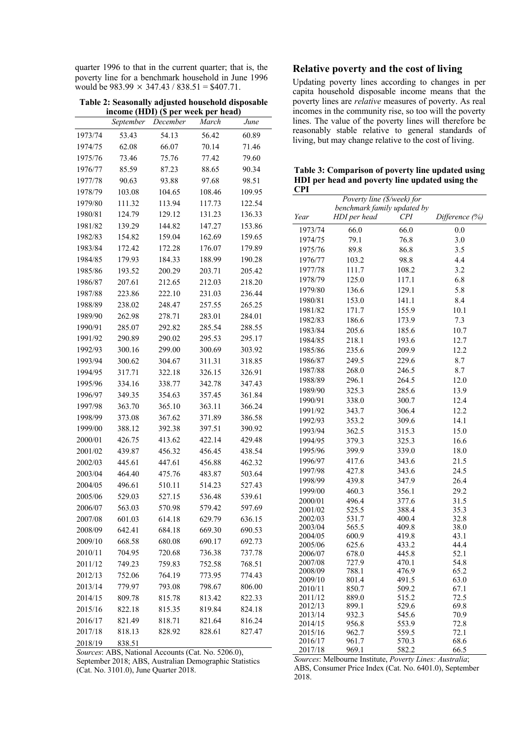quarter 1996 to that in the current quarter; that is, the poverty line for a benchmark household in June 1996 would be  $983.99 \times 347.43 / 838.51 = $407.71$ .

**Table 2: Seasonally adjusted household disposable income (HDI) (\$ per week per head)**

|         |           | w        |        |        |
|---------|-----------|----------|--------|--------|
|         | September | December | March  | June   |
| 1973/74 | 53.43     | 54.13    | 56.42  | 60.89  |
| 1974/75 | 62.08     | 66.07    | 70.14  | 71.46  |
| 1975/76 | 73.46     | 75.76    | 77.42  | 79.60  |
| 1976/77 | 85.59     | 87.23    | 88.65  | 90.34  |
| 1977/78 | 90.63     | 93.88    | 97.68  | 98.51  |
| 1978/79 | 103.08    | 104.65   | 108.46 | 109.95 |
| 1979/80 | 111.32    | 113.94   | 117.73 | 122.54 |
| 1980/81 | 124.79    | 129.12   | 131.23 | 136.33 |
| 1981/82 | 139.29    | 144.82   | 147.27 | 153.86 |
| 1982/83 | 154.82    | 159.04   | 162.69 | 159.65 |
| 1983/84 | 172.42    | 172.28   | 176.07 | 179.89 |
| 1984/85 | 179.93    | 184.33   | 188.99 | 190.28 |
| 1985/86 | 193.52    | 200.29   | 203.71 | 205.42 |
| 1986/87 | 207.61    | 212.65   | 212.03 | 218.20 |
| 1987/88 | 223.86    | 222.10   | 231.03 | 236.44 |
| 1988/89 | 238.02    | 248.47   | 257.55 | 265.25 |
| 1989/90 | 262.98    | 278.71   | 283.01 | 284.01 |
| 1990/91 | 285.07    | 292.82   | 285.54 | 288.55 |
| 1991/92 | 290.89    | 290.02   | 295.53 | 295.17 |
| 1992/93 | 300.16    | 299.00   | 300.69 | 303.92 |
| 1993/94 | 300.62    | 304.67   | 311.31 | 318.85 |
| 1994/95 | 317.71    | 322.18   | 326.15 | 326.91 |
| 1995/96 | 334.16    | 338.77   | 342.78 | 347.43 |
| 1996/97 | 349.35    | 354.63   | 357.45 | 361.84 |
| 1997/98 | 363.70    | 365.10   | 363.11 | 366.24 |
| 1998/99 | 373.08    | 367.62   | 371.89 | 386.58 |
| 1999/00 | 388.12    | 392.38   | 397.51 | 390.92 |
| 2000/01 | 426.75    | 413.62   | 422.14 | 429.48 |
| 2001/02 | 439.87    | 456.32   | 456.45 | 438.54 |
| 2002/03 | 445.61    | 447.61   | 456.88 | 462.32 |
| 2003/04 | 464.40    | 475.76   | 483.87 | 503.64 |
| 2004/05 | 496.61    | 510.11   | 514.23 | 527.43 |
| 2005/06 | 529.03    | 527.15   | 536.48 | 539.61 |
| 2006/07 | 563.03    | 570.98   | 579.42 | 597.69 |
| 2007/08 | 601.03    | 614.18   | 629.79 | 636.15 |
| 2008/09 | 642.41    | 684.18   | 669.30 | 690.53 |
| 2009/10 | 668.58    | 680.08   | 690.17 | 692.73 |
| 2010/11 | 704.95    | 720.68   | 736.38 | 737.78 |
| 2011/12 | 749.23    | 759.83   | 752.58 | 768.51 |
| 2012/13 | 752.06    | 764.19   | 773.95 | 774.43 |
| 2013/14 | 779.97    | 793.08   | 798.67 | 806.00 |
| 2014/15 | 809.78    | 815.78   | 813.42 | 822.33 |
| 2015/16 | 822.18    | 815.35   | 819.84 | 824.18 |
| 2016/17 | 821.49    | 818.71   | 821.64 | 816.24 |
| 2017/18 | 818.13    | 828.92   | 828.61 | 827.47 |
| 2018/19 | 838.51    |          |        |        |

**Relative poverty and the cost of living**

Updating poverty lines according to changes in per capita household disposable income means that the poverty lines are *relative* measures of poverty. As real incomes in the community rise, so too will the poverty lines. The value of the poverty lines will therefore be reasonably stable relative to general standards of living, but may change relative to the cost of living.

**Table 3: Comparison of poverty line updated using HDI per head and poverty line updated using the** 

| <b>CPI</b>                 |                             |                |                |  |
|----------------------------|-----------------------------|----------------|----------------|--|
| Poverty line (\$/week) for |                             |                |                |  |
|                            | benchmark family updated by |                |                |  |
| Year                       | HDI per head                | CPI            | Difference (%) |  |
| 1973/74                    | 66.0                        | 66.0           | 0.0            |  |
| 1974/75                    | 79.1                        | 76.8           | 3.0            |  |
| 1975/76                    | 89.8                        | 86.8           | 3.5            |  |
| 1976/77                    | 103.2                       | 98.8           | 4.4            |  |
| 1977/78                    | 111.7                       | 108.2          | 3.2            |  |
| 1978/79                    | 125.0                       | 117.1          | 6.8            |  |
| 1979/80                    | 136.6                       | 129.1          | 5.8            |  |
| 1980/81                    | 153.0                       | 141.1          | 8.4            |  |
| 1981/82                    | 171.7                       | 155.9          | 10.1           |  |
| 1982/83                    | 186.6                       | 173.9          | 7.3            |  |
| 1983/84                    | 205.6                       | 185.6          | 10.7           |  |
| 1984/85                    | 218.1                       | 193.6          | 12.7           |  |
| 1985/86                    | 235.6                       | 209.9          | 12.2           |  |
| 1986/87                    | 249.5                       | 229.6          | 8.7            |  |
| 1987/88                    | 268.0                       | 246.5          | 8.7            |  |
| 1988/89                    | 296.1                       | 264.5          | 12.0           |  |
| 1989/90                    | 325.3                       | 285.6          | 13.9           |  |
| 1990/91                    | 338.0                       | 300.7          | 12.4           |  |
| 1991/92                    | 343.7                       | 306.4          | 12.2           |  |
| 1992/93                    | 353.2                       | 309.6          | 14.1           |  |
| 1993/94                    | 362.5                       | 315.3          | 15.0           |  |
| 1994/95                    | 379.3                       | 325.3          | 16.6           |  |
| 1995/96                    | 399.9                       | 339.0          | 18.0           |  |
| 1996/97                    | 417.6                       | 343.6          | 21.5           |  |
|                            |                             |                |                |  |
| 1997/98                    | 427.8                       | 343.6          | 24.5           |  |
| 1998/99                    | 439.8                       | 347.9          | 26.4           |  |
| 1999/00                    | 460.3                       | 356.1          | 29.2           |  |
| 2000/01<br>2001/02         | 496.4<br>525.5              | 377.6<br>388.4 | 31.5<br>35.3   |  |
| 2002/03                    | 531.7                       | 400.4          | 32.8           |  |
| 2003/04                    | 565.5                       | 409.8          | 38.0           |  |
| 2004/05                    | 600.9                       | 419.8          | 43.1           |  |
| 2005/06                    | 625.6                       | 433.2          | 44.4           |  |
| 2006/07                    | 678.0                       | 445.8          | 52.1           |  |
| 2007/08                    | 727.9                       | 470.1          | 54.8           |  |
| 2008/09                    | 788.1                       | 476.9          | 65.2           |  |
| 2009/10                    | 801.4                       | 491.5          | 63.0           |  |
| 2010/11<br>2011/12         | 850.7<br>889.0              | 509.2<br>515.2 | 67.1<br>72.5   |  |
| 2012/13                    | 899.1                       | 529.6          | 69.8           |  |
| 2013/14                    | 932.3                       | 545.6          | 70.9           |  |
| 2014/15                    | 956.8                       | 553.9          | 72.8           |  |
| 2015/16                    | 962.7                       | 559.5          | 72.1           |  |
| 2016/17                    | 961.7                       | 570.3          | 68.6           |  |
| 2017/18                    | 969.1                       | 582.2          | 66.5           |  |

*Sources*: ABS, National Accounts (Cat. No. 5206.0),

September 2018; ABS, Australian Demographic Statistics (Cat. No. 3101.0), June Quarter 2018.

*Sources*: Melbourne Institute, *Poverty Lines: Australia*; ABS, Consumer Price Index (Cat. No. 6401.0), September 2018.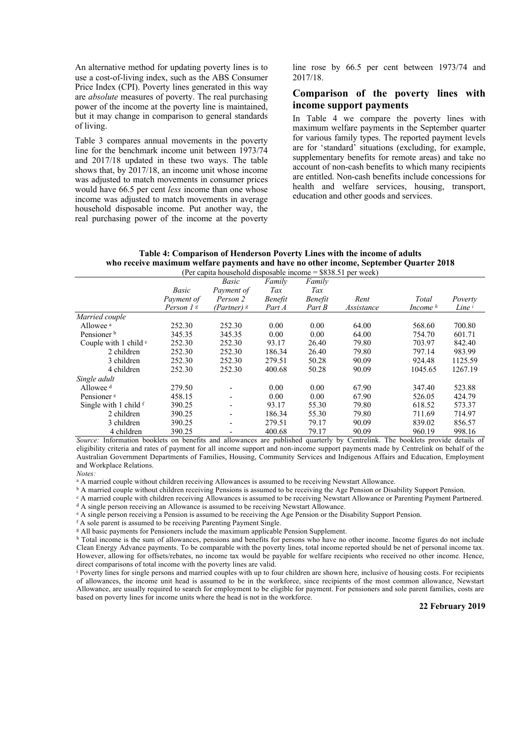An alternative method for updating poverty lines is to use a cost-of-living index, such as the ABS Consumer Price Index (CPI). Poverty lines generated in this way are *absolute* measures of poverty. The real purchasing power of the income at the poverty line is maintained, but it may change in comparison to general standards of living.

Table 3 compares annual movements in the poverty line for the benchmark income unit between 1973/74 and 2017/18 updated in these two ways. The table shows that, by 2017/18, an income unit whose income was adjusted to match movements in consumer prices would have 66.5 per cent *less* income than one whose income was adjusted to match movements in average household disposable income. Put another way, the real purchasing power of the income at the poverty line rose by 66.5 per cent between 1973/74 and 2017/18.

## **Comparison of the poverty lines with income support payments**

In Table 4 we compare the poverty lines with maximum welfare payments in the September quarter for various family types. The reported payment levels are for 'standard' situations (excluding, for example, supplementary benefits for remote areas) and take no account of non-cash benefits to which many recipients are entitled. Non-cash benefits include concessions for health and welfare services, housing, transport, education and other goods and services.

|                             |            | (Per capita household disposable income = \$838.51 per week) |                |                |            |                     |                   |
|-----------------------------|------------|--------------------------------------------------------------|----------------|----------------|------------|---------------------|-------------------|
|                             |            | Basic                                                        | Family         | Family         |            |                     |                   |
|                             | Basic      | Payment of                                                   | Tax            | Tax            |            |                     |                   |
|                             | Payment of | Person 2                                                     | <b>Benefit</b> | <i>Benefit</i> | Rent       | Total               | Poverty           |
|                             | Person 1 s | (Partner) $\mathfrak s$                                      | Part A         | Part B         | Assistance | Income <sup>h</sup> | Line <sup>i</sup> |
| Married couple              |            |                                                              |                |                |            |                     |                   |
| Allowee <sup>a</sup>        | 252.30     | 252.30                                                       | 0.00           | 0.00           | 64.00      | 568.60              | 700.80            |
| Pensioner <sup>b</sup>      | 345.35     | 345.35                                                       | 0.00           | 0.00           | 64.00      | 754.70              | 601.71            |
| Couple with 1 child $\circ$ | 252.30     | 252.30                                                       | 93.17          | 26.40          | 79.80      | 703.97              | 842.40            |
| 2 children                  | 252.30     | 252.30                                                       | 186.34         | 26.40          | 79.80      | 797.14              | 983.99            |
| 3 children                  | 252.30     | 252.30                                                       | 279.51         | 50.28          | 90.09      | 924.48              | 1125.59           |
| 4 children                  | 252.30     | 252.30                                                       | 400.68         | 50.28          | 90.09      | 1045.65             | 1267.19           |
| Single adult                |            |                                                              |                |                |            |                     |                   |
| Allowee $d$                 | 279.50     |                                                              | 0.00           | 0.00           | 67.90      | 347.40              | 523.88            |
| Pensioner <sup>e</sup>      | 458.15     | $\overline{\phantom{a}}$                                     | 0.00           | 0.00           | 67.90      | 526.05              | 424.79            |
| Single with 1 child $f$     | 390.25     | $\overline{\phantom{a}}$                                     | 93.17          | 55.30          | 79.80      | 618.52              | 573.37            |
| 2 children                  | 390.25     | $\overline{\phantom{a}}$                                     | 186.34         | 55.30          | 79.80      | 711.69              | 714.97            |
| 3 children                  | 390.25     | $\overline{\phantom{a}}$                                     | 279.51         | 79.17          | 90.09      | 839.02              | 856.57            |
| 4 children                  | 390.25     | -                                                            | 400.68         | 79.17          | 90.09      | 960.19              | 998.16            |

**Table 4: Comparison of Henderson Poverty Lines with the income of adults who receive maximum welfare payments and have no other income, September Quarter 2018**

*Source:* Information booklets on benefits and allowances are published quarterly by Centrelink. The booklets provide details of eligibility criteria and rates of payment for all income support and non-income support payments made by Centrelink on behalf of the Australian Government Departments of Families, Housing, Community Services and Indigenous Affairs and Education, Employment and Workplace Relations.

*Notes:* 

<sup>a</sup> A married couple without children receiving Allowances is assumed to be receiving Newstart Allowance.

<sup>b</sup> A married couple without children receiving Pensions is assumed to be receiving the Age Pension or Disability Support Pension.

<sup>c</sup> A married couple with children receiving Allowances is assumed to be receiving Newstart Allowance or Parenting Payment Partnered.

<sup>d</sup> A single person receiving an Allowance is assumed to be receiving Newstart Allowance.

<sup>e</sup> A single person receiving a Pension is assumed to be receiving the Age Pension or the Disability Support Pension.

<sup>f</sup> A sole parent is assumed to be receiving Parenting Payment Single.

<sup>g</sup> All basic payments for Pensioners include the maximum applicable Pension Supplement.

h Total income is the sum of allowances, pensions and benefits for persons who have no other income. Income figures do not include Clean Energy Advance payments. To be comparable with the poverty lines, total income reported should be net of personal income tax. However, allowing for offsets/rebates, no income tax would be payable for welfare recipients who received no other income. Hence, direct comparisons of total income with the poverty lines are valid.

<sup>i</sup> Poverty lines for single persons and married couples with up to four children are shown here, inclusive of housing costs. For recipients of allowances, the income unit head is assumed to be in the workforce, since recipients of the most common allowance, Newstart Allowance, are usually required to search for employment to be eligible for payment. For pensioners and sole parent families, costs are based on poverty lines for income units where the head is not in the workforce.